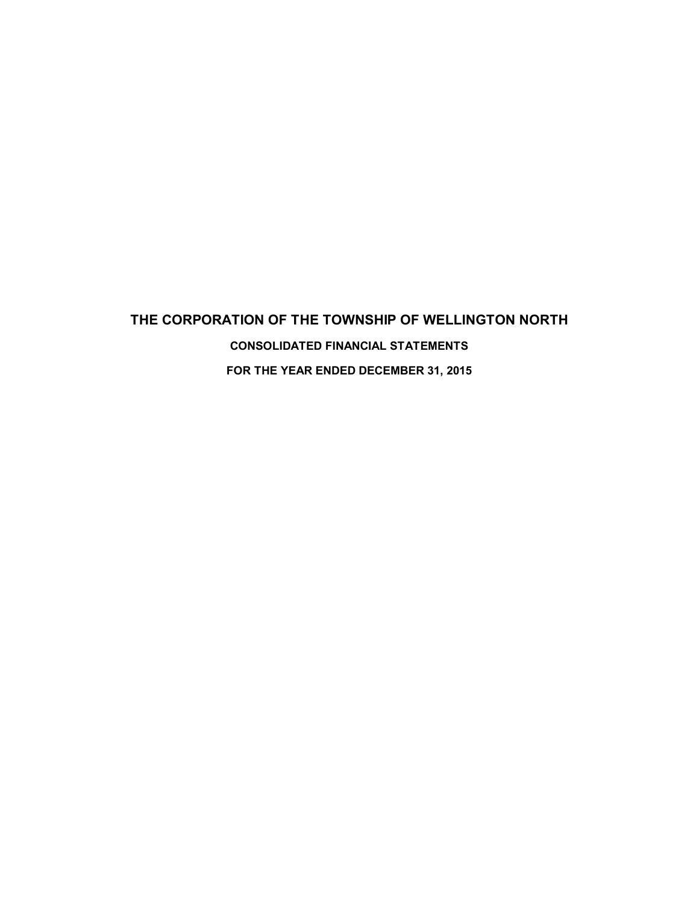# **THE CORPORATION OF THE TOWNSHIP OF WELLINGTON NORTH CONSOLIDATED FINANCIAL STATEMENTS FOR THE YEAR ENDED DECEMBER 31, 2015**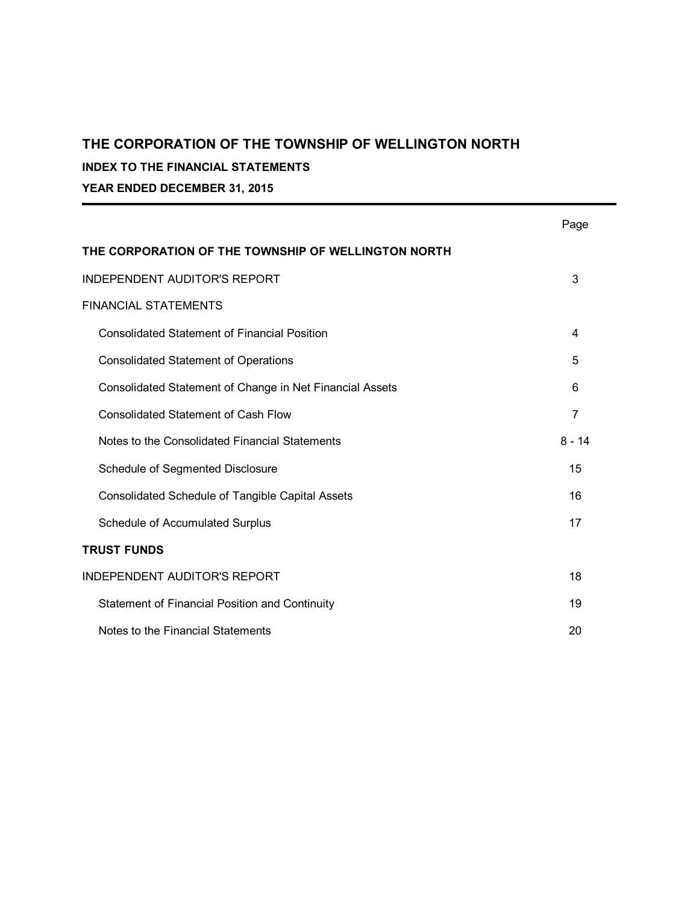# **INDEX TO THE FINANCIAL STATEMENTS**

**YEAR ENDED DECEMBER 31, 2015**

|                                                          | Page           |
|----------------------------------------------------------|----------------|
| THE CORPORATION OF THE TOWNSHIP OF WELLINGTON NORTH      |                |
| <b>INDEPENDENT AUDITOR'S REPORT</b>                      | 3              |
| <b>FINANCIAL STATEMENTS</b>                              |                |
| <b>Consolidated Statement of Financial Position</b>      | $\overline{4}$ |
| <b>Consolidated Statement of Operations</b>              | 5              |
| Consolidated Statement of Change in Net Financial Assets | 6              |
| <b>Consolidated Statement of Cash Flow</b>               | 7              |
| Notes to the Consolidated Financial Statements           | $8 - 14$       |
| Schedule of Segmented Disclosure                         | 15             |
| <b>Consolidated Schedule of Tangible Capital Assets</b>  | 16             |
| Schedule of Accumulated Surplus                          | 17             |
| <b>TRUST FUNDS</b>                                       |                |
| <b>INDEPENDENT AUDITOR'S REPORT</b>                      | 18             |
| Statement of Financial Position and Continuity           | 19             |
| Notes to the Financial Statements                        | 20             |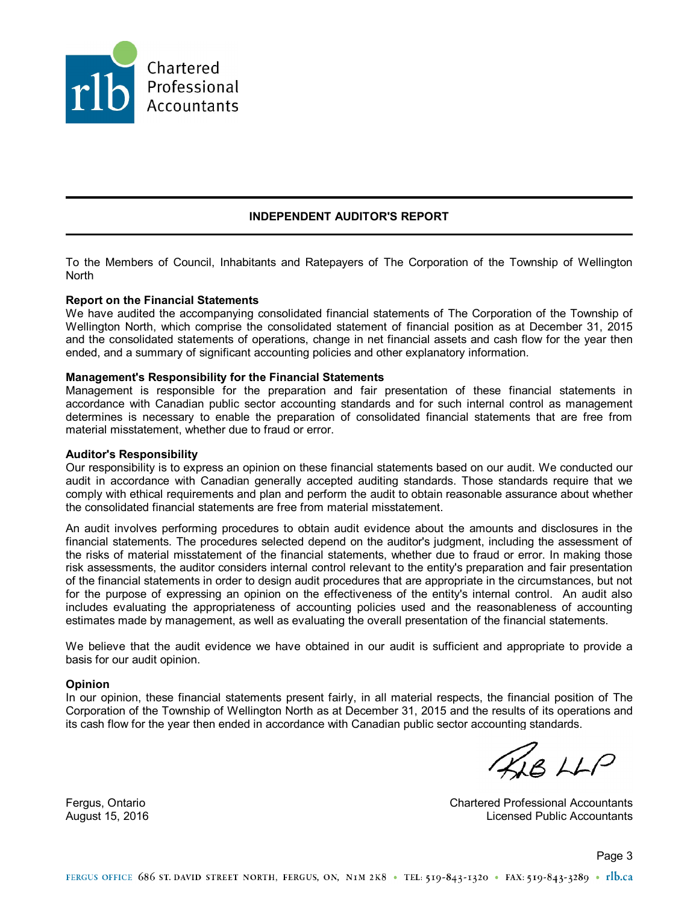

#### **INDEPENDENT AUDITOR'S REPORT**

To the Members of Council, Inhabitants and Ratepayers of The Corporation of the Township of Wellington **North** 

#### **Report on the Financial Statements**

We have audited the accompanying consolidated financial statements of The Corporation of the Township of Wellington North, which comprise the consolidated statement of financial position as at December 31, 2015 and the consolidated statements of operations, change in net financial assets and cash flow for the year then ended, and a summary of significant accounting policies and other explanatory information.

#### **Management's Responsibility for the Financial Statements**

Management is responsible for the preparation and fair presentation of these financial statements in accordance with Canadian public sector accounting standards and for such internal control as management determines is necessary to enable the preparation of consolidated financial statements that are free from material misstatement, whether due to fraud or error.

#### **Auditor's Responsibility**

Our responsibility is to express an opinion on these financial statements based on our audit. We conducted our audit in accordance with Canadian generally accepted auditing standards. Those standards require that we comply with ethical requirements and plan and perform the audit to obtain reasonable assurance about whether the consolidated financial statements are free from material misstatement.

An audit involves performing procedures to obtain audit evidence about the amounts and disclosures in the financial statements. The procedures selected depend on the auditor's judgment, including the assessment of the risks of material misstatement of the financial statements, whether due to fraud or error. In making those risk assessments, the auditor considers internal control relevant to the entity's preparation and fair presentation of the financial statements in order to design audit procedures that are appropriate in the circumstances, but not for the purpose of expressing an opinion on the effectiveness of the entity's internal control. An audit also includes evaluating the appropriateness of accounting policies used and the reasonableness of accounting estimates made by management, as well as evaluating the overall presentation of the financial statements.

We believe that the audit evidence we have obtained in our audit is sufficient and appropriate to provide a basis for our audit opinion.

#### **Opinion**

In our opinion, these financial statements present fairly, in all material respects, the financial position of The Corporation of the Township of Wellington North as at December 31, 2015 and the results of its operations and its cash flow for the year then ended in accordance with Canadian public sector accounting standards.

SAB LLP

Fergus, Ontario Chartered Professional Accountants August 15, 2016 Licensed Public Accountants

FERGUS OFFICE 686 ST. DAVID STREET NORTH, FERGUS, ON, NIM 2K8 • TEL: 519-843-1320 • FAX: 519-843-3289 • rlb.ca

Page 3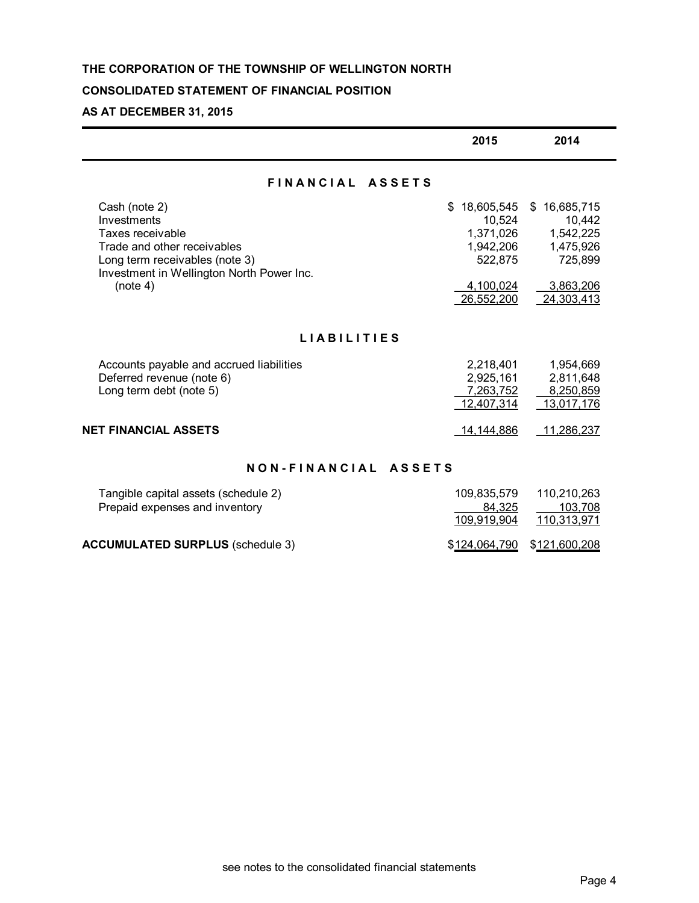# **CONSOLIDATED STATEMENT OF FINANCIAL POSITION**

### **AS AT DECEMBER 31, 2015**

|                                                                                                                                                                            | 2015                                                                                        | 2014                                                                                       |  |
|----------------------------------------------------------------------------------------------------------------------------------------------------------------------------|---------------------------------------------------------------------------------------------|--------------------------------------------------------------------------------------------|--|
| FINANCIAL ASSETS                                                                                                                                                           |                                                                                             |                                                                                            |  |
| Cash (note 2)<br>Investments<br>Taxes receivable<br>Trade and other receivables<br>Long term receivables (note 3)<br>Investment in Wellington North Power Inc.<br>(note 4) | 18,605,545<br>\$.<br>10,524<br>1,371,026<br>1,942,206<br>522,875<br>4,100,024<br>26,552,200 | 16,685,715<br>S.<br>10,442<br>1,542,225<br>1,475,926<br>725,899<br>3,863,206<br>24,303,413 |  |
| <b>LIABILITIES</b>                                                                                                                                                         |                                                                                             |                                                                                            |  |
| Accounts payable and accrued liabilities<br>Deferred revenue (note 6)<br>Long term debt (note 5)                                                                           | 2,218,401<br>2,925,161<br>7,263,752<br>12,407,314                                           | 1,954,669<br>2,811,648<br>8,250,859<br>13,017,176                                          |  |
| <b>NET FINANCIAL ASSETS</b>                                                                                                                                                | 14,144,886                                                                                  | 11,286,237                                                                                 |  |
| NON-FINANCIAL ASSETS                                                                                                                                                       |                                                                                             |                                                                                            |  |

| Tangible capital assets (schedule 2)    | 109.835.579                 | 110,210,263 |
|-----------------------------------------|-----------------------------|-------------|
| Prepaid expenses and inventory          | 84.325                      | 103.708     |
|                                         | 109.919.904                 | 110.313.971 |
| <b>ACCUMULATED SURPLUS (schedule 3)</b> | \$124,064,790 \$121,600,208 |             |

<u>—</u>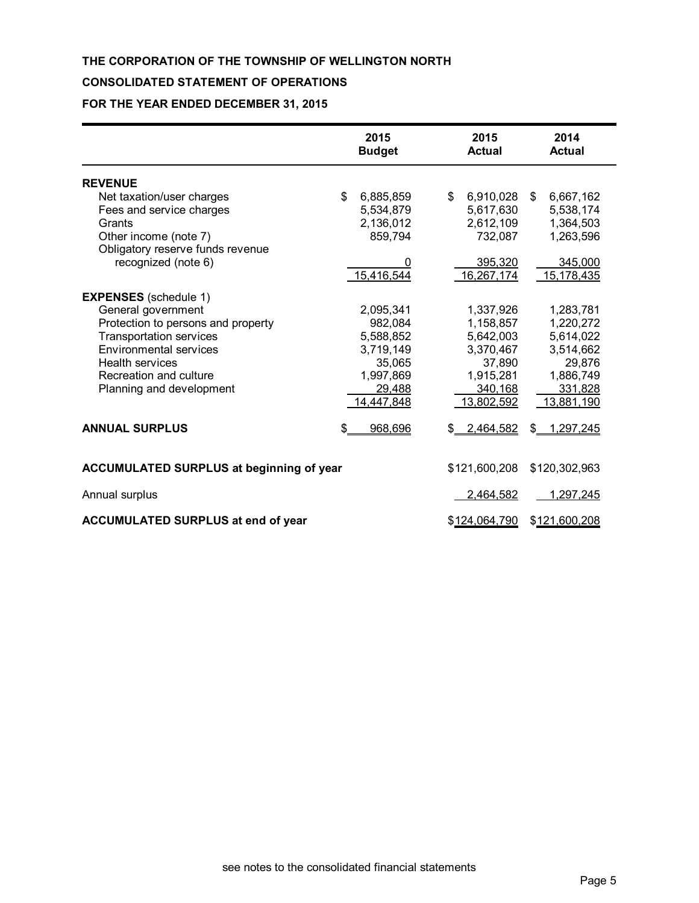# **CONSOLIDATED STATEMENT OF OPERATIONS**

|                                                 | 2015<br><b>Budget</b> | 2015<br><b>Actual</b> | 2014<br><b>Actual</b> |
|-------------------------------------------------|-----------------------|-----------------------|-----------------------|
| <b>REVENUE</b>                                  |                       |                       |                       |
| Net taxation/user charges                       | \$<br>6,885,859       | \$<br>6,910,028       | \$<br>6,667,162       |
| Fees and service charges                        | 5,534,879             | 5,617,630             | 5,538,174             |
| Grants                                          | 2,136,012             | 2,612,109             | 1,364,503             |
| Other income (note 7)                           | 859,794               | 732,087               | 1,263,596             |
| Obligatory reserve funds revenue                |                       |                       |                       |
| recognized (note 6)                             |                       | 395,320               | 345,000               |
|                                                 | 15,416,544            | 16,267,174            | 15,178,435            |
| <b>EXPENSES</b> (schedule 1)                    |                       |                       |                       |
| General government                              | 2,095,341             | 1,337,926             | 1,283,781             |
| Protection to persons and property              | 982,084               | 1,158,857             | 1,220,272             |
| <b>Transportation services</b>                  | 5,588,852             | 5,642,003             | 5,614,022             |
| <b>Environmental services</b>                   | 3,719,149             | 3,370,467             | 3,514,662             |
| <b>Health services</b>                          | 35,065                | 37,890                | 29,876                |
| Recreation and culture                          | 1,997,869             | 1,915,281             | 1,886,749             |
| Planning and development                        | 29,488                | 340,168               | 331,828               |
|                                                 | 14,447,848            | 13,802,592            | 13,881,190            |
| <b>ANNUAL SURPLUS</b>                           | \$<br>968,696         | \$ 2,464,582          | \$<br>1,297,245       |
| <b>ACCUMULATED SURPLUS at beginning of year</b> |                       | \$121,600,208         | \$120,302,963         |
| Annual surplus                                  |                       | 2,464,582             | 1,297,245             |
| <b>ACCUMULATED SURPLUS at end of year</b>       |                       | \$124,064,790         | \$121,600,208         |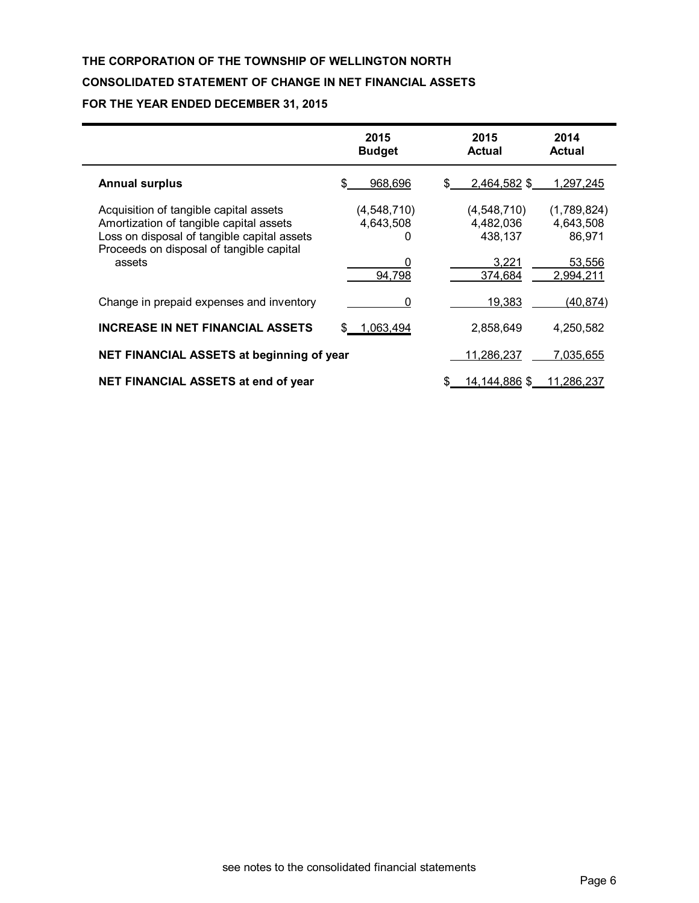# **THE CORPORATION OF THE TOWNSHIP OF WELLINGTON NORTH CONSOLIDATED STATEMENT OF CHANGE IN NET FINANCIAL ASSETS FOR THE YEAR ENDED DECEMBER 31, 2015**

|                                                                                                                                                                                        | 2015<br><b>Budget</b>                          | 2015<br>Actual                                          | 2014<br><b>Actual</b>                                     |
|----------------------------------------------------------------------------------------------------------------------------------------------------------------------------------------|------------------------------------------------|---------------------------------------------------------|-----------------------------------------------------------|
| <b>Annual surplus</b>                                                                                                                                                                  | 968,696<br>\$                                  | 2,464,582 \$                                            | 1,297,245                                                 |
| Acquisition of tangible capital assets<br>Amortization of tangible capital assets<br>Loss on disposal of tangible capital assets<br>Proceeds on disposal of tangible capital<br>assets | (4, 548, 710)<br>4,643,508<br>0<br>0<br>94,798 | (4,548,710)<br>4,482,036<br>438,137<br>3,221<br>374,684 | (1,789,824)<br>4,643,508<br>86,971<br>53,556<br>2,994,211 |
| Change in prepaid expenses and inventory                                                                                                                                               | 0                                              | <u>19,383</u>                                           | (40, 874)                                                 |
| <b>INCREASE IN NET FINANCIAL ASSETS</b>                                                                                                                                                | 1,063,494<br>S                                 | 2,858,649                                               | 4,250,582                                                 |
| NET FINANCIAL ASSETS at beginning of year                                                                                                                                              |                                                | 11,286,237                                              | 7.035.655                                                 |
| NET FINANCIAL ASSETS at end of year                                                                                                                                                    |                                                | 14,144,886 \$                                           | 11,286,237                                                |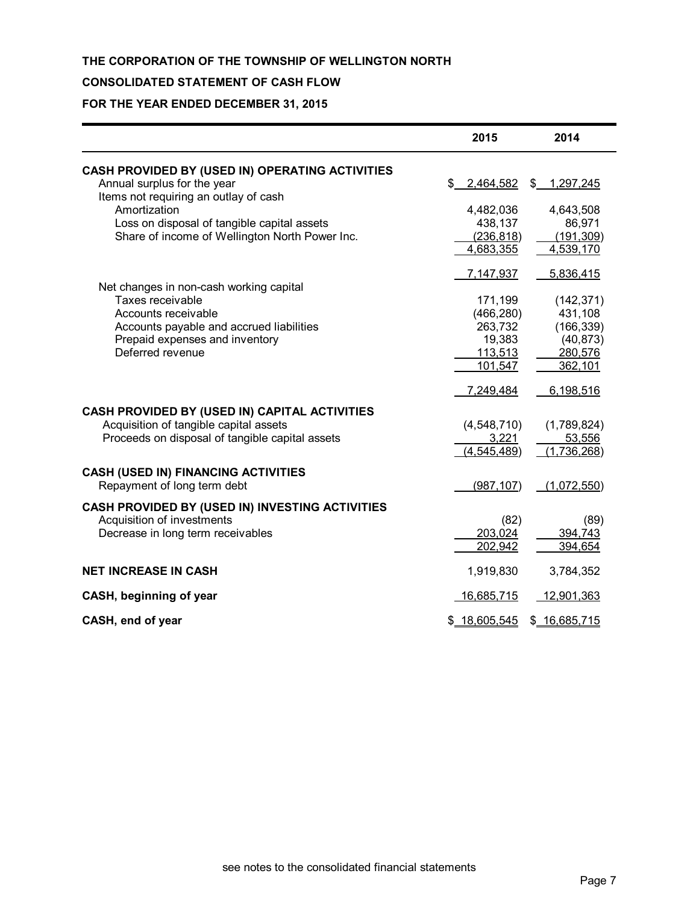# **CONSOLIDATED STATEMENT OF CASH FLOW**

|                                                                                                                                                                                      | 2015                                                             | 2014                                                                   |
|--------------------------------------------------------------------------------------------------------------------------------------------------------------------------------------|------------------------------------------------------------------|------------------------------------------------------------------------|
| CASH PROVIDED BY (USED IN) OPERATING ACTIVITIES<br>Annual surplus for the year<br>Items not requiring an outlay of cash<br>Amortization                                              | 2,464,582<br>\$<br>4,482,036                                     | \$ 1,297,245<br>4,643,508                                              |
| Loss on disposal of tangible capital assets<br>Share of income of Wellington North Power Inc.                                                                                        | 438,137<br>(236, 818)<br>4,683,355<br>7,147,937                  | 86,971<br>(191, 309)<br>4,539,170<br>5,836,415                         |
| Net changes in non-cash working capital<br>Taxes receivable<br>Accounts receivable<br>Accounts payable and accrued liabilities<br>Prepaid expenses and inventory<br>Deferred revenue | 171,199<br>(466, 280)<br>263,732<br>19,383<br>113,513<br>101,547 | (142, 371)<br>431,108<br>(166, 339)<br>(40, 873)<br>280,576<br>362,101 |
| CASH PROVIDED BY (USED IN) CAPITAL ACTIVITIES<br>Acquisition of tangible capital assets<br>Proceeds on disposal of tangible capital assets                                           | 7,249,484<br>(4, 548, 710)<br>3,221<br>(4, 545, 489)             | 6,198,516<br>(1,789,824)<br>53,556<br>(1,736,268)                      |
| <b>CASH (USED IN) FINANCING ACTIVITIES</b><br>Repayment of long term debt                                                                                                            | (987, 107)                                                       | (1,072,550)                                                            |
| CASH PROVIDED BY (USED IN) INVESTING ACTIVITIES<br>Acquisition of investments<br>Decrease in long term receivables                                                                   | (82)<br>203,024<br>202,942                                       | (89)<br>394,743<br>394,654                                             |
| <b>NET INCREASE IN CASH</b>                                                                                                                                                          | 1,919,830                                                        | 3,784,352                                                              |
| CASH, beginning of year                                                                                                                                                              | 16,685,715                                                       | 12,901,363                                                             |
| CASH, end of year                                                                                                                                                                    | \$ 18,605,545                                                    | \$ 16,685,715                                                          |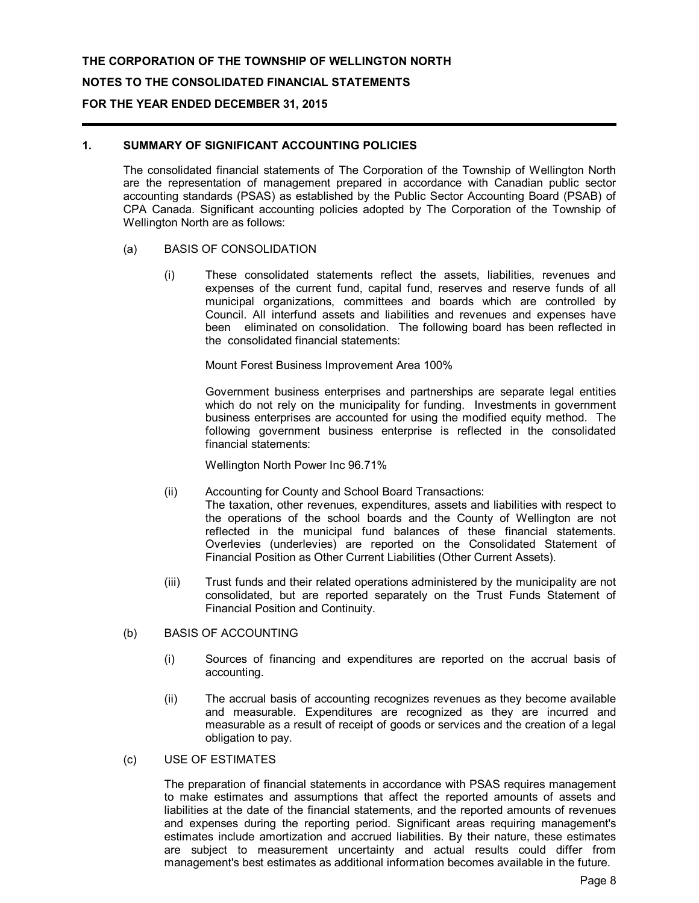# **THE CORPORATION OF THE TOWNSHIP OF WELLINGTON NORTH NOTES TO THE CONSOLIDATED FINANCIAL STATEMENTS**

**FOR THE YEAR ENDED DECEMBER 31, 2015**

# **1. SUMMARY OF SIGNIFICANT ACCOUNTING POLICIES**

The consolidated financial statements of The Corporation of the Township of Wellington North are the representation of management prepared in accordance with Canadian public sector accounting standards (PSAS) as established by the Public Sector Accounting Board (PSAB) of CPA Canada. Significant accounting policies adopted by The Corporation of the Township of Wellington North are as follows:

- (a) BASIS OF CONSOLIDATION
	- (i) These consolidated statements reflect the assets, liabilities, revenues and expenses of the current fund, capital fund, reserves and reserve funds of all municipal organizations, committees and boards which are controlled by Council. All interfund assets and liabilities and revenues and expenses have been eliminated on consolidation. The following board has been reflected in the consolidated financial statements:

Mount Forest Business Improvement Area 100%

Government business enterprises and partnerships are separate legal entities which do not rely on the municipality for funding. Investments in government business enterprises are accounted for using the modified equity method. The following government business enterprise is reflected in the consolidated financial statements:

Wellington North Power Inc 96.71%

(ii) Accounting for County and School Board Transactions:

The taxation, other revenues, expenditures, assets and liabilities with respect to the operations of the school boards and the County of Wellington are not reflected in the municipal fund balances of these financial statements. Overlevies (underlevies) are reported on the Consolidated Statement of Financial Position as Other Current Liabilities (Other Current Assets).

- (iii) Trust funds and their related operations administered by the municipality are not consolidated, but are reported separately on the Trust Funds Statement of Financial Position and Continuity.
- (b) BASIS OF ACCOUNTING
	- (i) Sources of financing and expenditures are reported on the accrual basis of accounting.
	- (ii) The accrual basis of accounting recognizes revenues as they become available and measurable. Expenditures are recognized as they are incurred and measurable as a result of receipt of goods or services and the creation of a legal obligation to pay.
- (c) USE OF ESTIMATES

The preparation of financial statements in accordance with PSAS requires management to make estimates and assumptions that affect the reported amounts of assets and liabilities at the date of the financial statements, and the reported amounts of revenues and expenses during the reporting period. Significant areas requiring management's estimates include amortization and accrued liabilities. By their nature, these estimates are subject to measurement uncertainty and actual results could differ from management's best estimates as additional information becomes available in the future.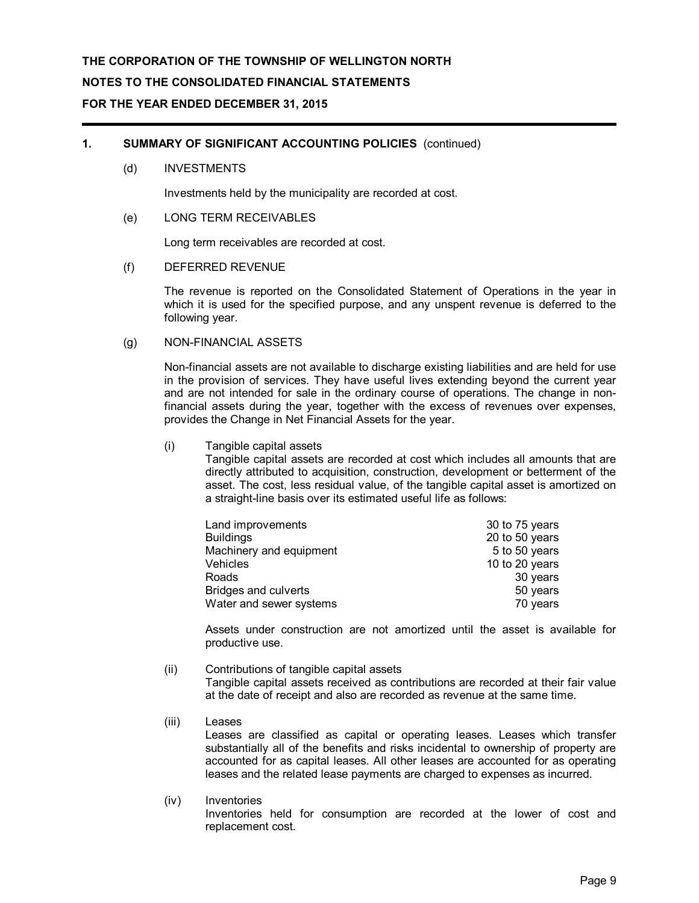### **1. SUMMARY OF SIGNIFICANT ACCOUNTING POLICIES** (continued)

#### (d) INVESTMENTS

Investments held by the municipality are recorded at cost.

#### (e) LONG TERM RECEIVABLES

Long term receivables are recorded at cost.

#### (f) DEFERRED REVENUE

The revenue is reported on the Consolidated Statement of Operations in the year in which it is used for the specified purpose, and any unspent revenue is deferred to the following year.

#### (g) NON-FINANCIAL ASSETS

Non-financial assets are not available to discharge existing liabilities and are held for use in the provision of services. They have useful lives extending beyond the current year and are not intended for sale in the ordinary course of operations. The change in nonfinancial assets during the year, together with the excess of revenues over expenses, provides the Change in Net Financial Assets for the year.

#### (i) Tangible capital assets

Tangible capital assets are recorded at cost which includes all amounts that are directly attributed to acquisition, construction, development or betterment of the asset. The cost, less residual value, of the tangible capital asset is amortized on a straight-line basis over its estimated useful life as follows:

| Land improvements           | 30 to 75 years |
|-----------------------------|----------------|
| <b>Buildings</b>            | 20 to 50 years |
| Machinery and equipment     | 5 to 50 years  |
| Vehicles                    | 10 to 20 years |
| Roads                       | 30 years       |
| <b>Bridges and culverts</b> | 50 years       |
| Water and sewer systems     | 70 years       |

Assets under construction are not amortized until the asset is available for productive use.

- (ii) Contributions of tangible capital assets Tangible capital assets received as contributions are recorded at their fair value at the date of receipt and also are recorded as revenue at the same time.
- (iii) Leases

Leases are classified as capital or operating leases. Leases which transfer substantially all of the benefits and risks incidental to ownership of property are accounted for as capital leases. All other leases are accounted for as operating leases and the related lease payments are charged to expenses as incurred.

#### (iv) Inventories

Inventories held for consumption are recorded at the lower of cost and replacement cost.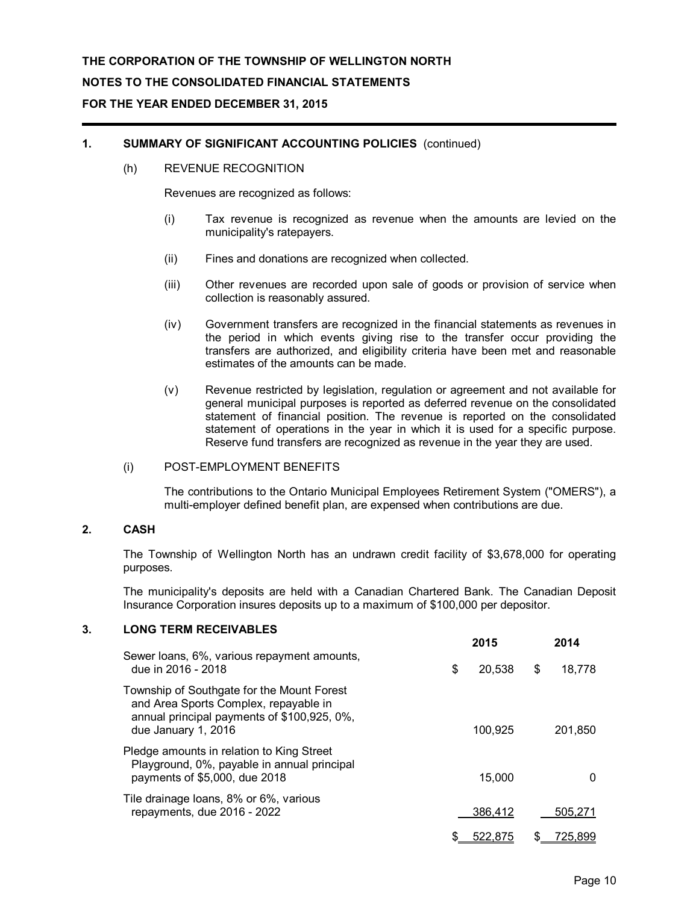#### **1. SUMMARY OF SIGNIFICANT ACCOUNTING POLICIES** (continued)

#### (h) REVENUE RECOGNITION

Revenues are recognized as follows:

- (i) Tax revenue is recognized as revenue when the amounts are levied on the municipality's ratepayers.
- (ii) Fines and donations are recognized when collected.
- (iii) Other revenues are recorded upon sale of goods or provision of service when collection is reasonably assured.
- (iv) Government transfers are recognized in the financial statements as revenues in the period in which events giving rise to the transfer occur providing the transfers are authorized, and eligibility criteria have been met and reasonable estimates of the amounts can be made.
- (v) Revenue restricted by legislation, regulation or agreement and not available for general municipal purposes is reported as deferred revenue on the consolidated statement of financial position. The revenue is reported on the consolidated statement of operations in the year in which it is used for a specific purpose. Reserve fund transfers are recognized as revenue in the year they are used.

#### (i) POST-EMPLOYMENT BENEFITS

The contributions to the Ontario Municipal Employees Retirement System ("OMERS"), a multi-employer defined benefit plan, are expensed when contributions are due.

# **2. CASH**

The Township of Wellington North has an undrawn credit facility of \$3,678,000 for operating purposes.

The municipality's deposits are held with a Canadian Chartered Bank. The Canadian Deposit Insurance Corporation insures deposits up to a maximum of \$100,000 per depositor.

#### **3. LONG TERM RECEIVABLES**

|                                                                                                                                                           | 2015         |   | 2014    |
|-----------------------------------------------------------------------------------------------------------------------------------------------------------|--------------|---|---------|
| Sewer loans, 6%, various repayment amounts,<br>due in 2016 - 2018                                                                                         | \$<br>20.538 | S | 18,778  |
| Township of Southgate for the Mount Forest<br>and Area Sports Complex, repayable in<br>annual principal payments of \$100,925, 0%,<br>due January 1, 2016 | 100,925      |   | 201,850 |
| Pledge amounts in relation to King Street<br>Playground, 0%, payable in annual principal<br>payments of \$5,000, due 2018                                 | 15,000       |   | 0       |
| Tile drainage loans, 8% or 6%, various<br>repayments, due 2016 - 2022                                                                                     | 386,412      |   | 505,271 |
|                                                                                                                                                           | 522,875      |   | 725.899 |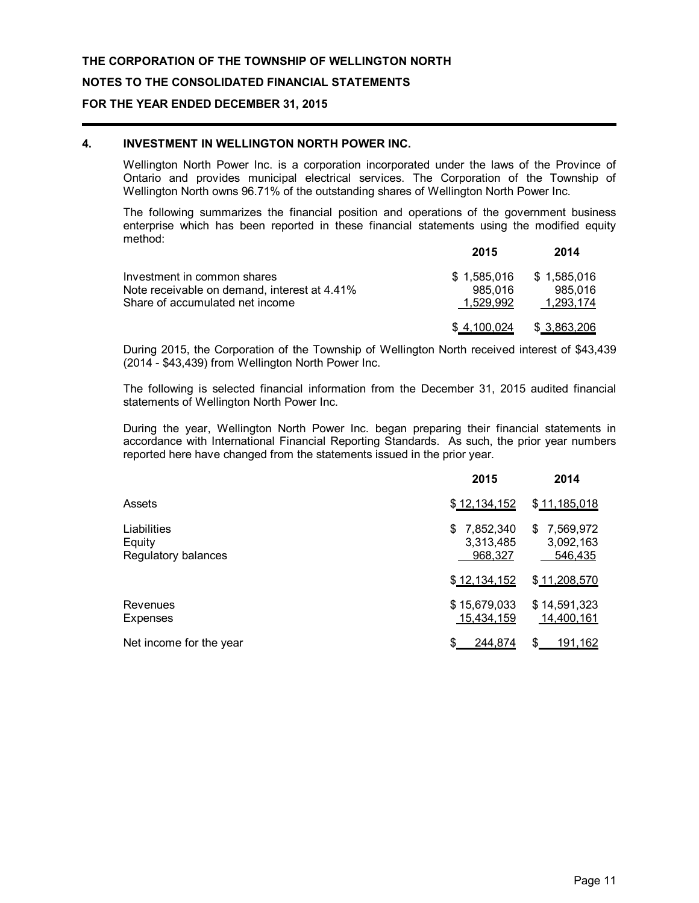# **THE CORPORATION OF THE TOWNSHIP OF WELLINGTON NORTH NOTES TO THE CONSOLIDATED FINANCIAL STATEMENTS FOR THE YEAR ENDED DECEMBER 31, 2015**

### **4. INVESTMENT IN WELLINGTON NORTH POWER INC.**

Wellington North Power Inc. is a corporation incorporated under the laws of the Province of Ontario and provides municipal electrical services. The Corporation of the Township of Wellington North owns 96.71% of the outstanding shares of Wellington North Power Inc.

The following summarizes the financial position and operations of the government business enterprise which has been reported in these financial statements using the modified equity method:

|                                                                             | 2015                   | 2014                   |
|-----------------------------------------------------------------------------|------------------------|------------------------|
| Investment in common shares<br>Note receivable on demand, interest at 4.41% | \$1.585.016<br>985.016 | \$1,585,016<br>985.016 |
| Share of accumulated net income                                             | 1.529.992              | 1.293.174              |
|                                                                             | \$4.100.024            | \$3,863,206            |

During 2015, the Corporation of the Township of Wellington North received interest of \$43,439 (2014 - \$43,439) from Wellington North Power Inc.

The following is selected financial information from the December 31, 2015 audited financial statements of Wellington North Power Inc.

During the year, Wellington North Power Inc. began preparing their financial statements in accordance with International Financial Reporting Standards. As such, the prior year numbers reported here have changed from the statements issued in the prior year.

|                                              | 2015                                    | 2014                                    |
|----------------------------------------------|-----------------------------------------|-----------------------------------------|
| Assets                                       | \$12,134,152                            | \$11,185,018                            |
| Liabilities<br>Equity<br>Regulatory balances | 7,852,340<br>\$<br>3,313,485<br>968,327 | 7,569,972<br>\$<br>3,092,163<br>546,435 |
|                                              | \$12,134,152                            | \$11,208,570                            |
| Revenues<br><b>Expenses</b>                  | \$15,679,033<br>15,434,159              | \$14,591,323<br>14,400,161              |
| Net income for the year                      | \$<br>244,874                           | \$<br>191,162                           |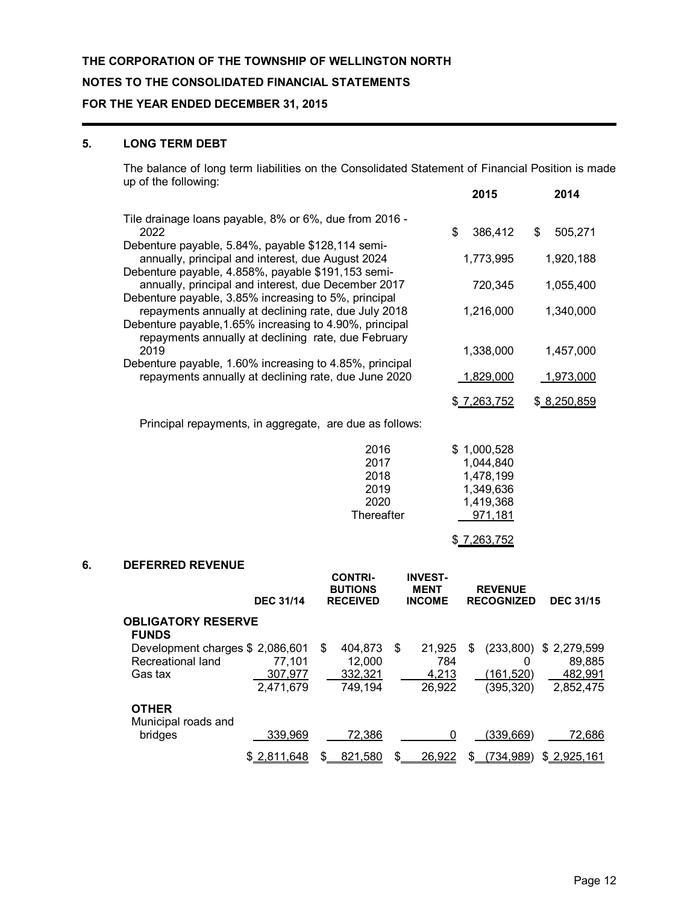# **NOTES TO THE CONSOLIDATED FINANCIAL STATEMENTS**

#### **FOR THE YEAR ENDED DECEMBER 31, 2015**

#### **5. LONG TERM DEBT**

The balance of long term liabilities on the Consolidated Statement of Financial Position is made up of the following: **2015 2014**

|                                                                                                                                                                        |      | 2015          | 2014          |
|------------------------------------------------------------------------------------------------------------------------------------------------------------------------|------|---------------|---------------|
| Tile drainage loans payable, 8% or 6%, due from 2016 -<br>2022                                                                                                         |      | \$<br>386,412 | \$<br>505,271 |
| Debenture payable, 5.84%, payable \$128,114 semi-<br>annually, principal and interest, due August 2024<br>Debenture payable, 4.858%, payable \$191,153 semi-           |      | 1,773,995     | 1,920,188     |
| annually, principal and interest, due December 2017<br>Debenture payable, 3.85% increasing to 5%, principal                                                            |      | 720,345       | 1,055,400     |
| repayments annually at declining rate, due July 2018<br>Debenture payable, 1.65% increasing to 4.90%, principal<br>repayments annually at declining rate, due February |      | 1,216,000     | 1,340,000     |
| 2019                                                                                                                                                                   |      | 1,338,000     | 1,457,000     |
| Debenture payable, 1.60% increasing to 4.85%, principal<br>repayments annually at declining rate, due June 2020                                                        |      | 1,829,000     | 1,973,000     |
|                                                                                                                                                                        |      | \$7,263,752   | \$8,250,859   |
| Principal repayments, in aggregate, are due as follows:                                                                                                                |      |               |               |
|                                                                                                                                                                        | 2016 | \$1,000,528   |               |

| 2016       | \$1.000.528 |
|------------|-------------|
| 2017       | 1,044,840   |
| 2018       | 1,478,199   |
| 2019       | 1,349,636   |
| 2020       | 1,419,368   |
| Thereafter | 971.181     |
|            |             |

# \$ 7,263,752

# **6. DEFERRED REVENUE**

|                                           | <b>DEC 31/14</b> |    | <b>CONTRI-</b><br><b>BUTIONS</b><br><b>RECEIVED</b> |      | <b>INVEST-</b><br><b>MENT</b><br><b>INCOME</b> |   | <b>REVENUE</b><br><b>RECOGNIZED</b> | <b>DEC 31/15</b> |
|-------------------------------------------|------------------|----|-----------------------------------------------------|------|------------------------------------------------|---|-------------------------------------|------------------|
| <b>OBLIGATORY RESERVE</b><br><b>FUNDS</b> |                  |    |                                                     |      |                                                |   |                                     |                  |
| Development charges \$ 2,086,601          |                  | S  | 404,873                                             | - \$ | 21.925                                         | S | (233,800) \$ 2,279,599              |                  |
| Recreational land                         | 77,101           |    | 12.000                                              |      | 784                                            |   | 0                                   | 89.885           |
| Gas tax                                   | 307.977          |    | 332,321                                             |      | 4.213                                          |   | <u>(161,520)</u>                    | 482.991          |
|                                           | 2.471.679        |    | 749,194                                             |      | 26,922                                         |   | (395, 320)                          | 2,852,475        |
| <b>OTHER</b><br>Municipal roads and       |                  |    |                                                     |      |                                                |   |                                     |                  |
| bridges                                   | 339,969          |    | 72.386                                              |      | 0                                              |   | (339,669)                           | <u>72,686</u>    |
|                                           | \$2,811,648      | \$ | 821.580                                             | \$   | 26,922                                         | S | (734.989)                           | \$2.925.161      |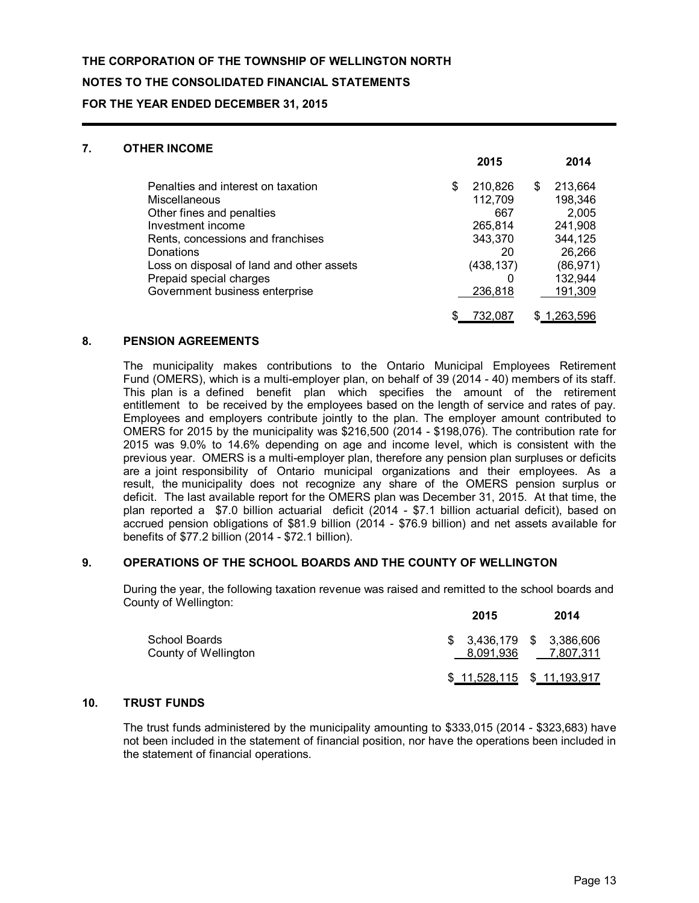#### **NOTES TO THE CONSOLIDATED FINANCIAL STATEMENTS**

**FOR THE YEAR ENDED DECEMBER 31, 2015**

#### **7. OTHER INCOME**

|                                                     |   | 2015               |   | 2014               |
|-----------------------------------------------------|---|--------------------|---|--------------------|
| Penalties and interest on taxation<br>Miscellaneous | S | 210,826<br>112,709 | S | 213,664<br>198,346 |
| Other fines and penalties                           |   | 667                |   | 2,005              |
| Investment income                                   |   | 265,814            |   | 241,908            |
| Rents, concessions and franchises<br>Donations      |   | 343,370<br>20      |   | 344,125<br>26,266  |
| Loss on disposal of land and other assets           |   | (438, 137)         |   | (86, 971)          |
| Prepaid special charges                             |   |                    |   | 132,944            |
| Government business enterprise                      |   | 236,818            |   | 191,309            |
|                                                     |   | 732.087            |   | \$1,263,596        |

#### **8. PENSION AGREEMENTS**

The municipality makes contributions to the Ontario Municipal Employees Retirement Fund (OMERS), which is a multi-employer plan, on behalf of 39 (2014 - 40) members of its staff. This plan is a defined benefit plan which specifies the amount of the retirement entitlement to be received by the employees based on the length of service and rates of pay. Employees and employers contribute jointly to the plan. The employer amount contributed to OMERS for 2015 by the municipality was \$216,500 (2014 - \$198,076). The contribution rate for 2015 was 9.0% to 14.6% depending on age and income level, which is consistent with the previous year. OMERS is a multi-employer plan, therefore any pension plan surpluses or deficits are a joint responsibility of Ontario municipal organizations and their employees. As a result, the municipality does not recognize any share of the OMERS pension surplus or deficit. The last available report for the OMERS plan was December 31, 2015. At that time, the plan reported a \$7.0 billion actuarial deficit (2014 - \$7.1 billion actuarial deficit), based on accrued pension obligations of \$81.9 billion (2014 - \$76.9 billion) and net assets available for benefits of \$77.2 billion (2014 - \$72.1 billion).

#### **9. OPERATIONS OF THE SCHOOL BOARDS AND THE COUNTY OF WELLINGTON**

During the year, the following taxation revenue was raised and remitted to the school boards and County of Wellington:

|                                       | 2015      | 2014                                   |
|---------------------------------------|-----------|----------------------------------------|
| School Boards<br>County of Wellington | 8.091.936 | $$3,436,179$ $$3,386,606$<br>7,807,311 |
|                                       |           | $$11,528,115$ $$11,193,917$            |

# **10. TRUST FUNDS**

The trust funds administered by the municipality amounting to \$333,015 (2014 - \$323,683) have not been included in the statement of financial position, nor have the operations been included in the statement of financial operations.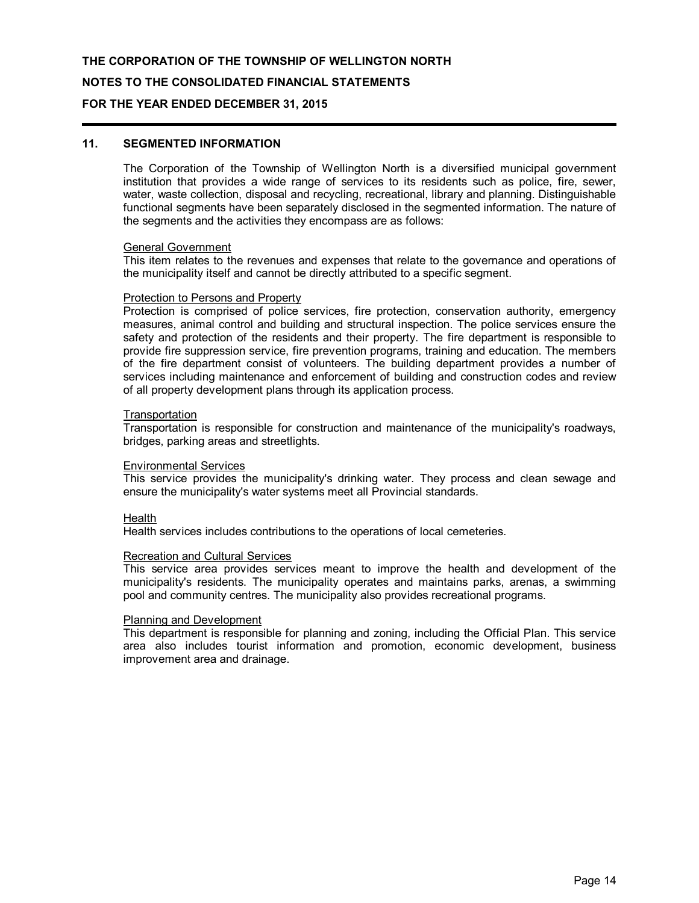#### **NOTES TO THE CONSOLIDATED FINANCIAL STATEMENTS**

#### **FOR THE YEAR ENDED DECEMBER 31, 2015**

#### **11. SEGMENTED INFORMATION**

The Corporation of the Township of Wellington North is a diversified municipal government institution that provides a wide range of services to its residents such as police, fire, sewer, water, waste collection, disposal and recycling, recreational, library and planning. Distinguishable functional segments have been separately disclosed in the segmented information. The nature of the segments and the activities they encompass are as follows:

#### General Government

This item relates to the revenues and expenses that relate to the governance and operations of the municipality itself and cannot be directly attributed to a specific segment.

#### Protection to Persons and Property

Protection is comprised of police services, fire protection, conservation authority, emergency measures, animal control and building and structural inspection. The police services ensure the safety and protection of the residents and their property. The fire department is responsible to provide fire suppression service, fire prevention programs, training and education. The members of the fire department consist of volunteers. The building department provides a number of services including maintenance and enforcement of building and construction codes and review of all property development plans through its application process.

#### Transportation

Transportation is responsible for construction and maintenance of the municipality's roadways, bridges, parking areas and streetlights.

#### Environmental Services

This service provides the municipality's drinking water. They process and clean sewage and ensure the municipality's water systems meet all Provincial standards.

#### Health

Health services includes contributions to the operations of local cemeteries.

#### Recreation and Cultural Services

This service area provides services meant to improve the health and development of the municipality's residents. The municipality operates and maintains parks, arenas, a swimming pool and community centres. The municipality also provides recreational programs.

#### Planning and Development

This department is responsible for planning and zoning, including the Official Plan. This service area also includes tourist information and promotion, economic development, business improvement area and drainage.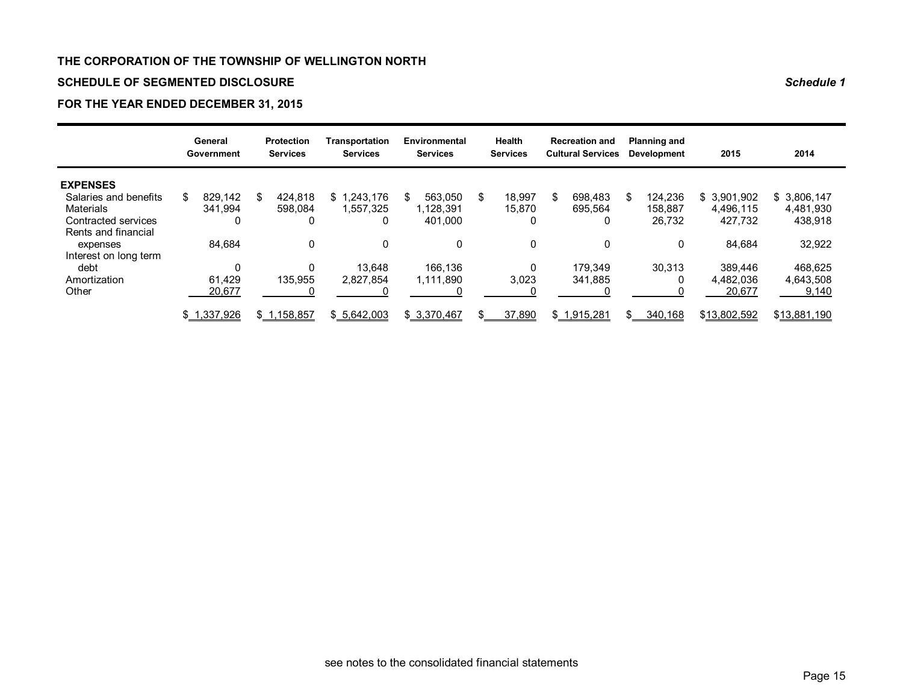### **SCHEDULE OF SEGMENTED DISCLOSURE** *Schedule 1*

|                       | General<br>Government | <b>Protection</b><br><b>Services</b> | Transportation<br><b>Services</b> |          |   | Environmental<br><b>Services</b> |    | Health<br><b>Services</b> |    | <b>Recreation and</b><br><b>Cultural Services</b> |    | <b>Planning and</b><br><b>Development</b> | 2015         | 2014         |
|-----------------------|-----------------------|--------------------------------------|-----------------------------------|----------|---|----------------------------------|----|---------------------------|----|---------------------------------------------------|----|-------------------------------------------|--------------|--------------|
| <b>EXPENSES</b>       |                       |                                      |                                   |          |   |                                  |    |                           |    |                                                   |    |                                           |              |              |
| Salaries and benefits | \$<br>829.142         | \$<br>424.818                        | \$1                               | .243.176 | S | 563.050                          | S. | 18.997                    | -S | 698.483                                           | £. | 124.236                                   | \$ 3.901.902 | \$3,806,147  |
| <b>Materials</b>      | 341.994               | 598.084                              |                                   | .557.325 |   | 1.128.391                        |    | 15.870                    |    | 695.564                                           |    | 158.887                                   | 4.496.115    | 4.481.930    |
| Contracted services   | 0                     | 0                                    |                                   |          |   | 401.000                          |    | 0                         |    | 0                                                 |    | 26,732                                    | 427,732      | 438,918      |
| Rents and financial   |                       |                                      |                                   |          |   |                                  |    |                           |    |                                                   |    |                                           |              |              |
| expenses              | 84,684                | 0                                    |                                   |          |   | 0                                |    | 0                         |    | 0                                                 |    | 0                                         | 84,684       | 32,922       |
| Interest on long term |                       |                                      |                                   |          |   |                                  |    |                           |    |                                                   |    |                                           |              |              |
| debt                  | $\Omega$              | 0                                    |                                   | 13.648   |   | 166.136                          |    | 0                         |    | 179.349                                           |    | 30.313                                    | 389,446      | 468.625      |
| Amortization          | 61.429                | 135.955                              | 2.827.854                         |          |   | 1.111.890                        |    | 3.023                     |    | 341.885                                           |    |                                           | 4.482.036    | 4,643,508    |
| Other                 | 20,677                |                                      |                                   |          |   |                                  |    |                           |    |                                                   |    |                                           | 20,677       | 9,140        |
|                       | \$1,337,926           | \$1,158,857                          | \$5,642,003                       |          |   | \$3,370,467                      | \$ | 37,890                    |    | \$1,915,281                                       |    | 340,168                                   | \$13,802,592 | \$13,881,190 |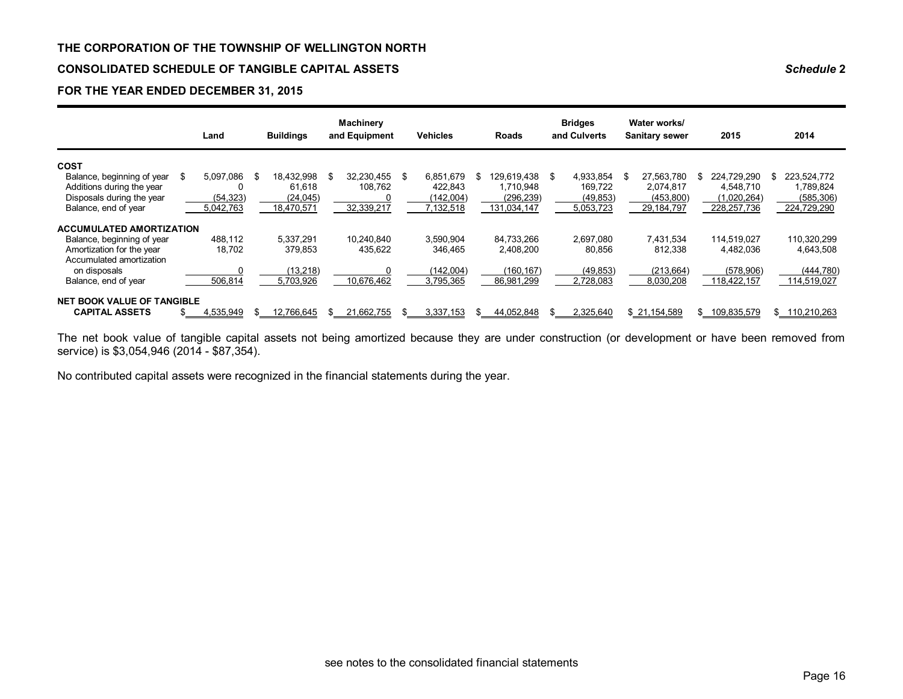### **CONSOLIDATED SCHEDULE OF TANGIBLE CAPITAL ASSETS** *Schedule* **2**

#### **FOR THE YEAR ENDED DECEMBER 31, 2015**

|                                   |    | Land      |   | <b>Buildings</b> |   | <b>Machinery</b><br>and Equipment |   | <b>Vehicles</b> |   | Roads       |   | <b>Bridges</b><br>and Culverts |    | Water works/<br><b>Sanitary sewer</b> | 2015              |    | 2014        |
|-----------------------------------|----|-----------|---|------------------|---|-----------------------------------|---|-----------------|---|-------------|---|--------------------------------|----|---------------------------------------|-------------------|----|-------------|
| <b>COST</b>                       |    |           |   |                  |   |                                   |   |                 |   |             |   |                                |    |                                       |                   |    |             |
| Balance, beginning of year        | S. | 5,097,086 | Ъ | 18,432,998       | S | 32,230,455                        | S | 6.851.679       | S | 129,619,438 | S | 4,933,854                      | S. | 27.563.780                            | \$<br>224,729,290 | S  | 223,524,772 |
| Additions during the year         |    |           |   | 61,618           |   | 108,762                           |   | 422,843         |   | 1.710.948   |   | 169,722                        |    | 2.074.817                             | 4,548,710         |    | 1,789,824   |
| Disposals during the year         |    | (54.323)  |   | (24, 045)        |   |                                   |   | (142,004)       |   | (296, 239)  |   | (49, 853)                      |    | (453,800)                             | (1,020,264)       |    | (585, 306)  |
| Balance, end of year              |    | 5,042,763 |   | 18,470,571       |   | 32,339,217                        |   | 7,132,518       |   | 131,034,147 |   | 5,053,723                      |    | 29,184,797                            | 228,257,736       |    | 224,729,290 |
| <b>ACCUMULATED AMORTIZATION</b>   |    |           |   |                  |   |                                   |   |                 |   |             |   |                                |    |                                       |                   |    |             |
| Balance, beginning of year        |    | 488.112   |   | 5,337,291        |   | 10.240.840                        |   | 3.590.904       |   | 84.733.266  |   | 2.697.080                      |    | 7.431.534                             | 114.519.027       |    | 110,320,299 |
| Amortization for the year         |    | 18,702    |   | 379,853          |   | 435,622                           |   | 346,465         |   | 2,408,200   |   | 80,856                         |    | 812,338                               | 4,482,036         |    | 4,643,508   |
| Accumulated amortization          |    |           |   |                  |   |                                   |   |                 |   |             |   |                                |    |                                       |                   |    |             |
| on disposals                      |    |           |   | (13, 218)        |   |                                   |   | (142,004)       |   | (160,167)   |   | (49, 853)                      |    | (213, 664)                            | (578,906)         |    | (444, 780)  |
| Balance, end of year              |    | 506,814   |   | 5,703,926        |   | 10,676,462                        |   | 3,795,365       |   | 86,981,299  |   | 2,728,083                      |    | 8,030,208                             | 118,422,157       |    | 114,519,027 |
| <b>NET BOOK VALUE OF TANGIBLE</b> |    |           |   |                  |   |                                   |   |                 |   |             |   |                                |    |                                       |                   |    |             |
| <b>CAPITAL ASSETS</b>             | S. | 4,535,949 |   | 12,766,645       |   | 21.662.755                        |   | 3,337,153       |   | 44,052,848  |   | 2.325.640                      |    | \$21,154,589                          | \$<br>109,835,579 | \$ | 110,210,263 |

The net book value of tangible capital assets not being amortized because they are under construction (or development or have been removed from service) is \$3,054,946 (2014 - \$87,354).

No contributed capital assets were recognized in the financial statements during the year.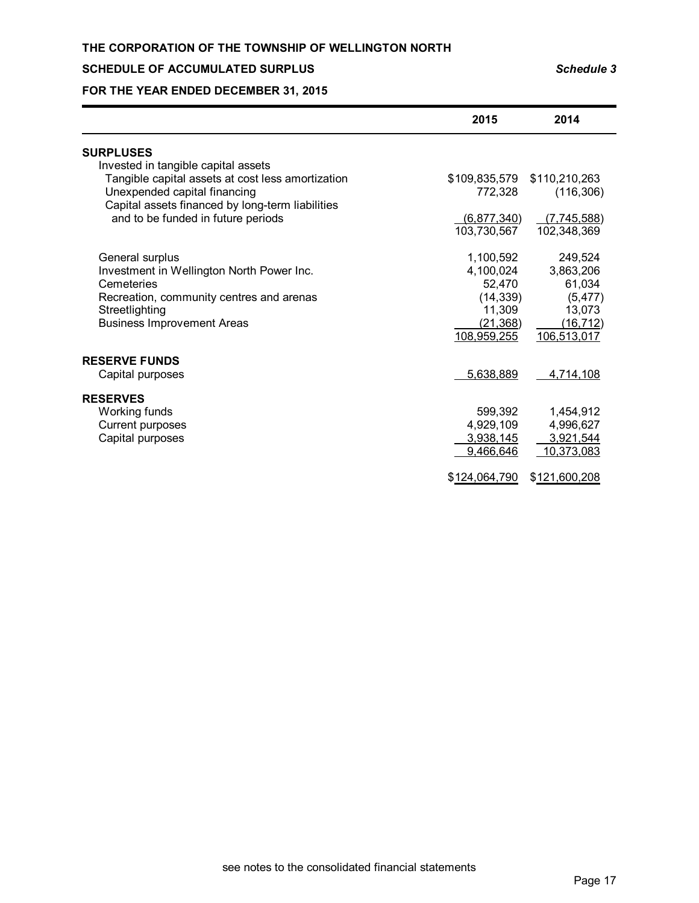# **SCHEDULE OF ACCUMULATED SURPLUS** *Schedule 3*

| 2015          | 2014                                                                                                  |
|---------------|-------------------------------------------------------------------------------------------------------|
|               |                                                                                                       |
|               |                                                                                                       |
|               | \$110,210,263                                                                                         |
| 772.328       | (116, 306)                                                                                            |
|               |                                                                                                       |
|               | (7,745,588)                                                                                           |
|               | 102,348,369                                                                                           |
|               | 249,524                                                                                               |
| 4,100,024     | 3,863,206                                                                                             |
| 52,470        | 61,034                                                                                                |
| (14, 339)     | (5, 477)                                                                                              |
|               | 13,073                                                                                                |
|               | (16, 712)                                                                                             |
|               | 106,513,017                                                                                           |
|               |                                                                                                       |
| 5,638,889     | 4,714,108                                                                                             |
|               |                                                                                                       |
| 599,392       | 1,454,912                                                                                             |
| 4,929,109     | 4,996,627                                                                                             |
| 3,938,145     | 3,921,544                                                                                             |
| 9,466,646     | 10,373,083                                                                                            |
| \$124,064,790 | \$121,600,208                                                                                         |
|               | \$109,835,579<br><u>(6,877,340)</u><br>103,730,567<br>1,100,592<br>11,309<br>(21, 368)<br>108,959,255 |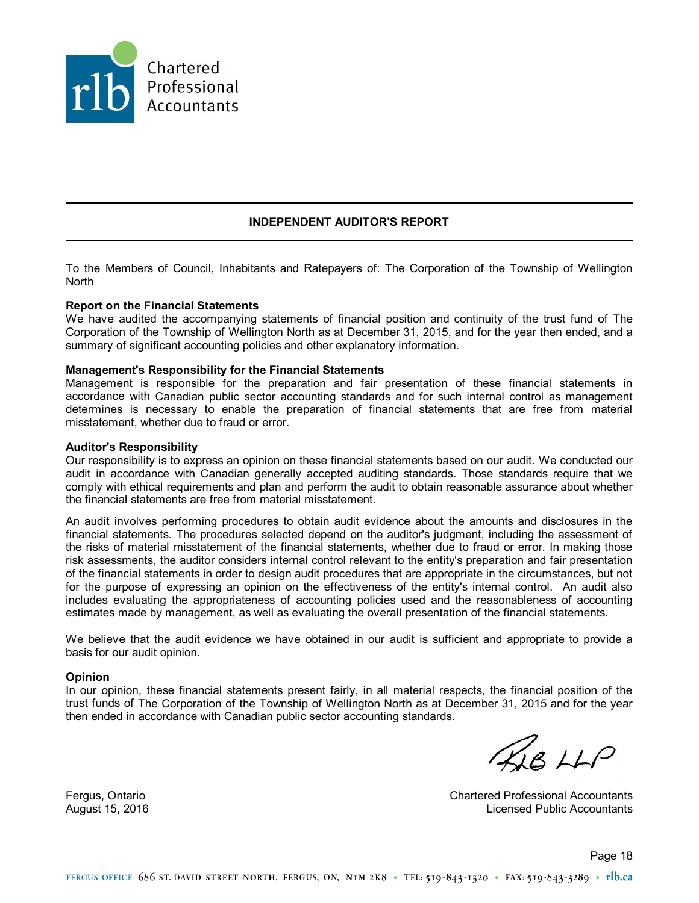

# **INDEPENDENT AUDITOR'S REPORT**

To the Members of Council, Inhabitants and Ratepayers of: The Corporation of the Township of Wellington **North** 

#### **Report on the Financial Statements**

We have audited the accompanying statements of financial position and continuity of the trust fund of The Corporation of the Township of Wellington North as at December 31, 2015, and for the year then ended, and a summary of significant accounting policies and other explanatory information.

#### **Management's Responsibility for the Financial Statements**

Management is responsible for the preparation and fair presentation of these financial statements in accordance with Canadian public sector accounting standards and for such internal control as management determines is necessary to enable the preparation of financial statements that are free from material misstatement, whether due to fraud or error.

#### **Auditor's Responsibility**

Our responsibility is to express an opinion on these financial statements based on our audit. We conducted our audit in accordance with Canadian generally accepted auditing standards. Those standards require that we comply with ethical requirements and plan and perform the audit to obtain reasonable assurance about whether the financial statements are free from material misstatement.

An audit involves performing procedures to obtain audit evidence about the amounts and disclosures in the financial statements. The procedures selected depend on the auditor's judgment, including the assessment of the risks of material misstatement of the financial statements, whether due to fraud or error. In making those risk assessments, the auditor considers internal control relevant to the entity's preparation and fair presentation of the financial statements in order to design audit procedures that are appropriate in the circumstances, but not for the purpose of expressing an opinion on the effectiveness of the entity's internal control. An audit also includes evaluating the appropriateness of accounting policies used and the reasonableness of accounting estimates made by management, as well as evaluating the overall presentation of the financial statements.

We believe that the audit evidence we have obtained in our audit is sufficient and appropriate to provide a basis for our audit opinion.

#### **Opinion**

In our opinion, these financial statements present fairly, in all material respects, the financial position of the trust funds of The Corporation of the Township of Wellington North as at December 31, 2015 and for the year then ended in accordance with Canadian public sector accounting standards.

Page 18

Fergus, Ontario Chartered Professional Accountants August 15, 2016 Licensed Public Accountants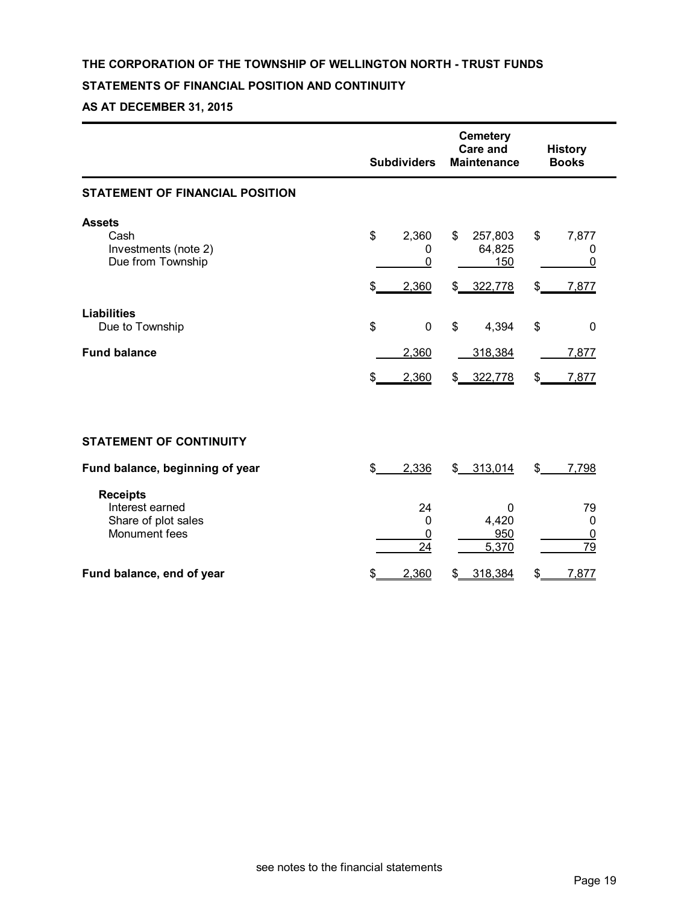# **THE CORPORATION OF THE TOWNSHIP OF WELLINGTON NORTH - TRUST FUNDS**

#### **STATEMENTS OF FINANCIAL POSITION AND CONTINUITY**

**AS AT DECEMBER 31, 2015**

|                                                                    | <b>Subdividers</b>                              | <b>Cemetery</b><br><b>Care and</b><br><b>Maintenance</b>    | <b>History</b><br><b>Books</b>       |
|--------------------------------------------------------------------|-------------------------------------------------|-------------------------------------------------------------|--------------------------------------|
| <b>STATEMENT OF FINANCIAL POSITION</b>                             |                                                 |                                                             |                                      |
| <b>Assets</b><br>Cash<br>Investments (note 2)<br>Due from Township | $\mathcal{L}$<br>2,360<br>0<br>0<br>2,360<br>\$ | $\mathfrak{S}$<br>257,803<br>64,825<br>150<br>\$<br>322,778 | 7,877<br>\$<br>0<br>0<br>\$<br>7,877 |
| <b>Liabilities</b>                                                 | \$                                              | \$                                                          | \$                                   |
| Due to Township                                                    | $\mathbf 0$                                     | 4,394                                                       | 0                                    |
| <b>Fund balance</b>                                                | 2,360                                           | 318,384                                                     | 7,877                                |
|                                                                    | \$                                              | \$                                                          | \$                                   |
|                                                                    | 2,360                                           | 322,778                                                     | 7,877                                |
| <b>STATEMENT OF CONTINUITY</b>                                     |                                                 |                                                             |                                      |
| Fund balance, beginning of year                                    | 2,336                                           | 313,014                                                     | \$                                   |
|                                                                    | \$                                              | $\mathbb{S}$                                                | 7,798                                |
| <b>Receipts</b>                                                    | 24                                              | 0                                                           | 79                                   |
| Interest earned                                                    | 0                                               | 4,420                                                       | 0                                    |
| Share of plot sales                                                | $\overline{0}$                                  | 950                                                         | $\overline{0}$                       |
| Monument fees                                                      | 24                                              | 5,370                                                       | 79                                   |
| Fund balance, end of year                                          | 2,360                                           | 318,384                                                     | 7,877                                |
|                                                                    | S                                               | \$                                                          | \$                                   |